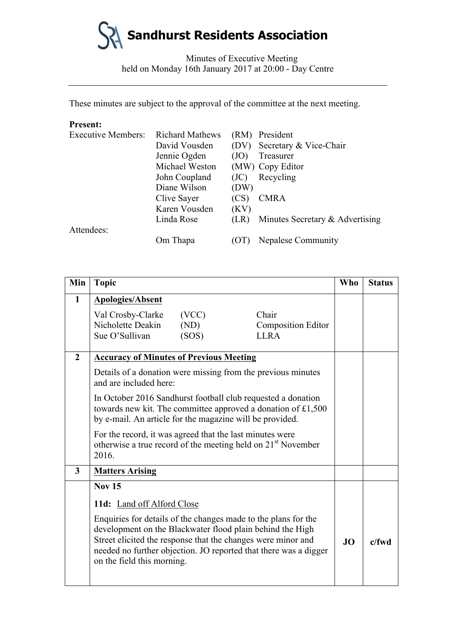

Minutes of Executive Meeting held on Monday 16th January 2017 at 20:00 - Day Centre

These minutes are subject to the approval of the committee at the next meeting.

## **Present:**

| <b>Executive Members:</b> | <b>Richard Mathews</b> | (RM) | President                       |
|---------------------------|------------------------|------|---------------------------------|
|                           | David Vousden          | (DV) | Secretary & Vice-Chair          |
|                           | Jennie Ogden           | (JO) | Treasurer                       |
|                           | Michael Weston         |      | (MW) Copy Editor                |
|                           | John Coupland          | (JC) | Recycling                       |
|                           | Diane Wilson           | (DW) |                                 |
|                           | Clive Sayer            | (CS) | <b>CMRA</b>                     |
|                           | Karen Vousden          | (KV) |                                 |
|                           | Linda Rose             | (LR) | Minutes Secretary & Advertising |
| Attendees:                |                        |      |                                 |
|                           | Om Thapa               |      | <b>Nepalese Community</b>       |

| Min            | <b>Topic</b>                                                                                                                                                                                                                                                                                  |                        |                                                   | <b>Who</b> | <b>Status</b> |
|----------------|-----------------------------------------------------------------------------------------------------------------------------------------------------------------------------------------------------------------------------------------------------------------------------------------------|------------------------|---------------------------------------------------|------------|---------------|
| 1              | <b>Apologies/Absent</b>                                                                                                                                                                                                                                                                       |                        |                                                   |            |               |
|                | Val Crosby-Clarke<br>Nicholette Deakin<br>Sue O'Sullivan                                                                                                                                                                                                                                      | (VCC)<br>(ND)<br>(SOS) | Chair<br><b>Composition Editor</b><br><b>LLRA</b> |            |               |
| $\overline{2}$ | <b>Accuracy of Minutes of Previous Meeting</b>                                                                                                                                                                                                                                                |                        |                                                   |            |               |
|                | Details of a donation were missing from the previous minutes<br>and are included here:                                                                                                                                                                                                        |                        |                                                   |            |               |
|                | In October 2016 Sandhurst football club requested a donation<br>towards new kit. The committee approved a donation of £1,500<br>by e-mail. An article for the magazine will be provided.                                                                                                      |                        |                                                   |            |               |
|                | For the record, it was agreed that the last minutes were<br>otherwise a true record of the meeting held on 21 <sup>st</sup> November<br>2016.                                                                                                                                                 |                        |                                                   |            |               |
| 3              | <b>Matters Arising</b>                                                                                                                                                                                                                                                                        |                        |                                                   |            |               |
|                | <b>Nov 15</b>                                                                                                                                                                                                                                                                                 |                        |                                                   |            |               |
|                | 11d: Land off Alford Close                                                                                                                                                                                                                                                                    |                        |                                                   |            |               |
|                | Enquiries for details of the changes made to the plans for the<br>development on the Blackwater flood plain behind the High<br>Street elicited the response that the changes were minor and<br>needed no further objection. JO reported that there was a digger<br>on the field this morning. |                        |                                                   | <b>JO</b>  | $c$ /fwd      |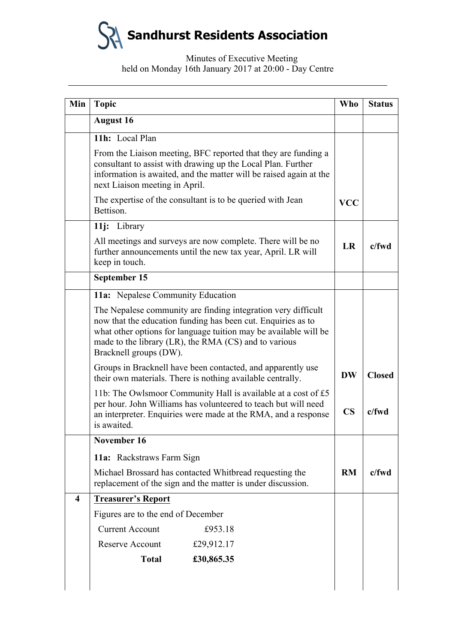**Sandhurst Residents Association**

## Minutes of Executive Meeting held on Monday 16th January 2017 at 20:00 - Day Centre

|                         | <b>Topic</b>                                                                                                                                                                                                                                                                         | <b>Who</b>             | <b>Status</b> |
|-------------------------|--------------------------------------------------------------------------------------------------------------------------------------------------------------------------------------------------------------------------------------------------------------------------------------|------------------------|---------------|
|                         | <b>August 16</b>                                                                                                                                                                                                                                                                     |                        |               |
|                         | 11h: Local Plan                                                                                                                                                                                                                                                                      |                        |               |
|                         | From the Liaison meeting, BFC reported that they are funding a<br>consultant to assist with drawing up the Local Plan. Further<br>information is awaited, and the matter will be raised again at the<br>next Liaison meeting in April.                                               |                        |               |
|                         | The expertise of the consultant is to be queried with Jean<br>Bettison.                                                                                                                                                                                                              | <b>VCC</b>             |               |
|                         | 11j: Library                                                                                                                                                                                                                                                                         |                        |               |
|                         | All meetings and surveys are now complete. There will be no<br>further announcements until the new tax year, April. LR will<br>keep in touch.                                                                                                                                        | LR                     | $c$ /fwd      |
|                         | September 15                                                                                                                                                                                                                                                                         |                        |               |
|                         | 11a: Nepalese Community Education                                                                                                                                                                                                                                                    |                        |               |
|                         | The Nepalese community are finding integration very difficult<br>now that the education funding has been cut. Enquiries as to<br>what other options for language tuition may be available will be<br>made to the library (LR), the RMA (CS) and to various<br>Bracknell groups (DW). |                        |               |
|                         | Groups in Bracknell have been contacted, and apparently use<br>their own materials. There is nothing available centrally.                                                                                                                                                            | <b>DW</b>              | <b>Closed</b> |
|                         | 11b: The Owlsmoor Community Hall is available at a cost of £5<br>per hour. John Williams has volunteered to teach but will need                                                                                                                                                      |                        |               |
|                         | an interpreter. Enquiries were made at the RMA, and a response<br>is awaited.                                                                                                                                                                                                        | $\overline{\text{CS}}$ | $c$ /fwd      |
|                         | November 16                                                                                                                                                                                                                                                                          |                        |               |
|                         | 11a: Rackstraws Farm Sign                                                                                                                                                                                                                                                            |                        |               |
|                         | Michael Brossard has contacted Whitbread requesting the<br>replacement of the sign and the matter is under discussion.                                                                                                                                                               | RM                     | $c$ /fwd      |
| $\overline{\mathbf{4}}$ | <b>Treasurer's Report</b>                                                                                                                                                                                                                                                            |                        |               |
|                         | Figures are to the end of December                                                                                                                                                                                                                                                   |                        |               |
|                         | <b>Current Account</b><br>£953.18                                                                                                                                                                                                                                                    |                        |               |
|                         | Reserve Account<br>£29,912.17                                                                                                                                                                                                                                                        |                        |               |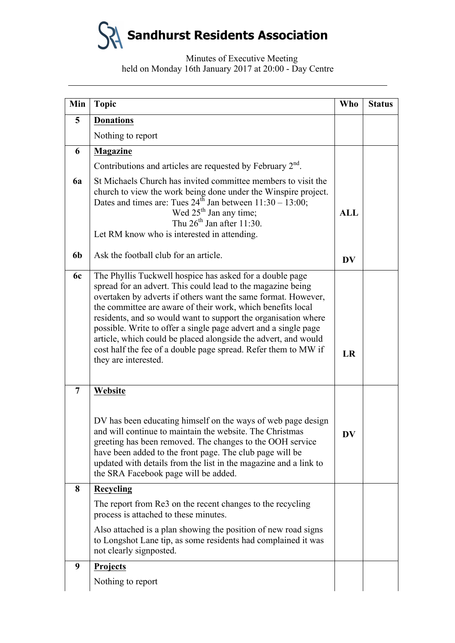**Sandhurst Residents Association**

Minutes of Executive Meeting held on Monday 16th January 2017 at 20:00 - Day Centre

| Min            | <b>Topic</b>                                                                                                                                                                                                                                                                                                                                                                                                                                                                                                                                             | <b>Who</b> | <b>Status</b> |
|----------------|----------------------------------------------------------------------------------------------------------------------------------------------------------------------------------------------------------------------------------------------------------------------------------------------------------------------------------------------------------------------------------------------------------------------------------------------------------------------------------------------------------------------------------------------------------|------------|---------------|
| 5              | <b>Donations</b>                                                                                                                                                                                                                                                                                                                                                                                                                                                                                                                                         |            |               |
|                | Nothing to report                                                                                                                                                                                                                                                                                                                                                                                                                                                                                                                                        |            |               |
| 6              | <b>Magazine</b>                                                                                                                                                                                                                                                                                                                                                                                                                                                                                                                                          |            |               |
|                | Contributions and articles are requested by February $2nd$ .                                                                                                                                                                                                                                                                                                                                                                                                                                                                                             |            |               |
| 6a             | St Michaels Church has invited committee members to visit the<br>church to view the work being done under the Winspire project.<br>Dates and times are: Tues $24^{th}$ Jan between $11:30 - 13:00$ ;<br>Wed $25th$ Jan any time;<br>Thu $26th$ Jan after 11:30.<br>Let RM know who is interested in attending.                                                                                                                                                                                                                                           | <b>ALL</b> |               |
| 6b             | Ask the football club for an article.                                                                                                                                                                                                                                                                                                                                                                                                                                                                                                                    | <b>DV</b>  |               |
| 6c             | The Phyllis Tuckwell hospice has asked for a double page<br>spread for an advert. This could lead to the magazine being<br>overtaken by adverts if others want the same format. However,<br>the committee are aware of their work, which benefits local<br>residents, and so would want to support the organisation where<br>possible. Write to offer a single page advert and a single page<br>article, which could be placed alongside the advert, and would<br>cost half the fee of a double page spread. Refer them to MW if<br>they are interested. | LR         |               |
| $\overline{7}$ | Website<br>DV has been educating himself on the ways of web page design<br>and will continue to maintain the website. The Christmas<br>greeting has been removed. The changes to the OOH service<br>have been added to the front page. The club page will be<br>updated with details from the list in the magazine and a link to<br>the SRA Facebook page will be added.                                                                                                                                                                                 | <b>DV</b>  |               |
| 8              | <b>Recycling</b>                                                                                                                                                                                                                                                                                                                                                                                                                                                                                                                                         |            |               |
|                | The report from Re3 on the recent changes to the recycling<br>process is attached to these minutes.<br>Also attached is a plan showing the position of new road signs<br>to Longshot Lane tip, as some residents had complained it was<br>not clearly signposted.                                                                                                                                                                                                                                                                                        |            |               |
| 9              | <b>Projects</b>                                                                                                                                                                                                                                                                                                                                                                                                                                                                                                                                          |            |               |
|                | Nothing to report                                                                                                                                                                                                                                                                                                                                                                                                                                                                                                                                        |            |               |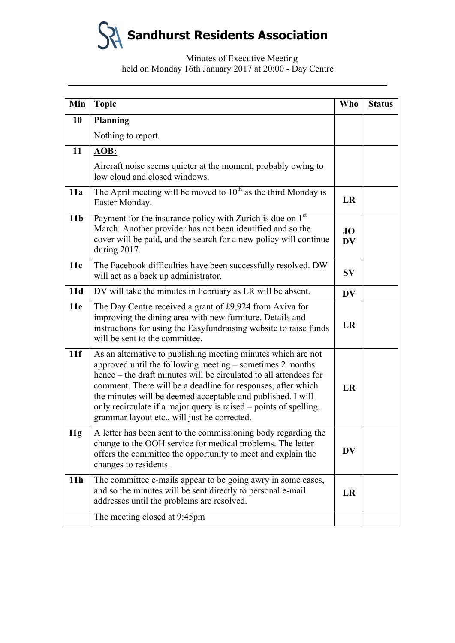**Sandhurst Residents Association**

Minutes of Executive Meeting held on Monday 16th January 2017 at 20:00 - Day Centre

| Min             | <b>Topic</b>                                                                                                                                                                                                                                                                                                                                                                                                                                        | <b>Who</b>      | <b>Status</b> |
|-----------------|-----------------------------------------------------------------------------------------------------------------------------------------------------------------------------------------------------------------------------------------------------------------------------------------------------------------------------------------------------------------------------------------------------------------------------------------------------|-----------------|---------------|
| 10              | Planning                                                                                                                                                                                                                                                                                                                                                                                                                                            |                 |               |
|                 | Nothing to report.                                                                                                                                                                                                                                                                                                                                                                                                                                  |                 |               |
| 11              | AOB:                                                                                                                                                                                                                                                                                                                                                                                                                                                |                 |               |
|                 | Aircraft noise seems quieter at the moment, probably owing to<br>low cloud and closed windows.                                                                                                                                                                                                                                                                                                                                                      |                 |               |
| 11a             | The April meeting will be moved to $10^{th}$ as the third Monday is<br>Easter Monday.                                                                                                                                                                                                                                                                                                                                                               | LR              |               |
| 11 <sub>b</sub> | Payment for the insurance policy with Zurich is due on $1st$<br>March. Another provider has not been identified and so the<br>cover will be paid, and the search for a new policy will continue<br>during 2017.                                                                                                                                                                                                                                     | JO<br><b>DV</b> |               |
| 11c             | The Facebook difficulties have been successfully resolved. DW<br>will act as a back up administrator.                                                                                                                                                                                                                                                                                                                                               | <b>SV</b>       |               |
| 11d             | DV will take the minutes in February as LR will be absent.                                                                                                                                                                                                                                                                                                                                                                                          | <b>DV</b>       |               |
| 11e             | The Day Centre received a grant of £9,924 from Aviva for<br>improving the dining area with new furniture. Details and<br>instructions for using the Easyfundraising website to raise funds<br>will be sent to the committee.                                                                                                                                                                                                                        | LR              |               |
| 11f             | As an alternative to publishing meeting minutes which are not<br>approved until the following meeting - sometimes 2 months<br>hence – the draft minutes will be circulated to all attendees for<br>comment. There will be a deadline for responses, after which<br>the minutes will be deemed acceptable and published. I will<br>only recirculate if a major query is raised – points of spelling,<br>grammar layout etc., will just be corrected. | <b>LR</b>       |               |
| $\prod$         | A letter has been sent to the commissioning body regarding the<br>change to the OOH service for medical problems. The letter<br>offers the committee the opportunity to meet and explain the<br>changes to residents.                                                                                                                                                                                                                               | <b>DV</b>       |               |
| 11 <sub>h</sub> | The committee e-mails appear to be going awry in some cases,<br>and so the minutes will be sent directly to personal e-mail<br>addresses until the problems are resolved.                                                                                                                                                                                                                                                                           | LR              |               |
|                 | The meeting closed at 9:45pm                                                                                                                                                                                                                                                                                                                                                                                                                        |                 |               |